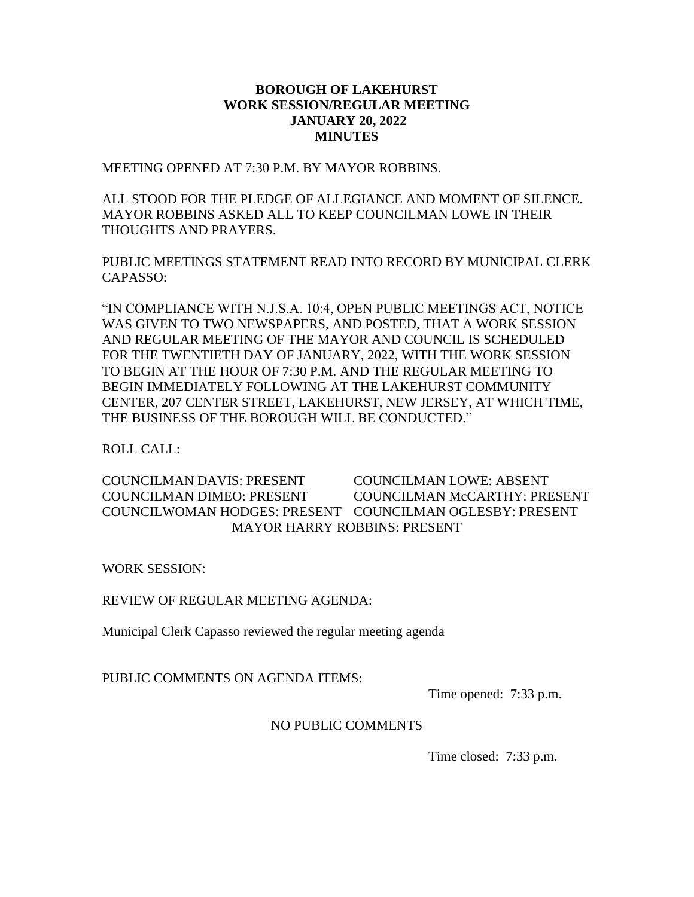### **BOROUGH OF LAKEHURST WORK SESSION/REGULAR MEETING JANUARY 20, 2022 MINUTES**

MEETING OPENED AT 7:30 P.M. BY MAYOR ROBBINS.

ALL STOOD FOR THE PLEDGE OF ALLEGIANCE AND MOMENT OF SILENCE. MAYOR ROBBINS ASKED ALL TO KEEP COUNCILMAN LOWE IN THEIR THOUGHTS AND PRAYERS.

PUBLIC MEETINGS STATEMENT READ INTO RECORD BY MUNICIPAL CLERK CAPASSO:

"IN COMPLIANCE WITH N.J.S.A. 10:4, OPEN PUBLIC MEETINGS ACT, NOTICE WAS GIVEN TO TWO NEWSPAPERS, AND POSTED, THAT A WORK SESSION AND REGULAR MEETING OF THE MAYOR AND COUNCIL IS SCHEDULED FOR THE TWENTIETH DAY OF JANUARY, 2022, WITH THE WORK SESSION TO BEGIN AT THE HOUR OF 7:30 P.M. AND THE REGULAR MEETING TO BEGIN IMMEDIATELY FOLLOWING AT THE LAKEHURST COMMUNITY CENTER, 207 CENTER STREET, LAKEHURST, NEW JERSEY, AT WHICH TIME, THE BUSINESS OF THE BOROUGH WILL BE CONDUCTED."

ROLL CALL:

COUNCILMAN DAVIS: PRESENT COUNCILMAN LOWE: ABSENT COUNCILMAN DIMEO: PRESENT COUNCILMAN McCARTHY: PRESENT COUNCILWOMAN HODGES: PRESENT COUNCILMAN OGLESBY: PRESENT MAYOR HARRY ROBBINS: PRESENT

WORK SESSION:

REVIEW OF REGULAR MEETING AGENDA:

Municipal Clerk Capasso reviewed the regular meeting agenda

PUBLIC COMMENTS ON AGENDA ITEMS:

Time opened: 7:33 p.m.

### NO PUBLIC COMMENTS

Time closed: 7:33 p.m.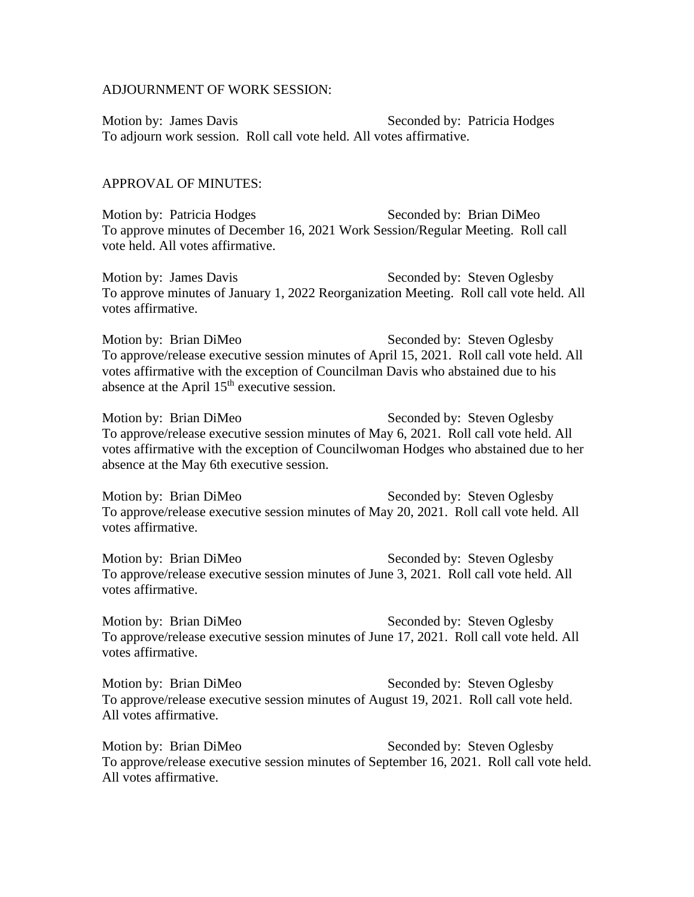#### ADJOURNMENT OF WORK SESSION:

Motion by: James Davis Seconded by: Patricia Hodges To adjourn work session. Roll call vote held. All votes affirmative.

#### APPROVAL OF MINUTES:

Motion by: Patricia Hodges Seconded by: Brian DiMeo To approve minutes of December 16, 2021 Work Session/Regular Meeting. Roll call vote held. All votes affirmative.

Motion by: James Davis Seconded by: Steven Oglesby To approve minutes of January 1, 2022 Reorganization Meeting. Roll call vote held. All votes affirmative.

Motion by: Brian DiMeo Seconded by: Steven Oglesby To approve/release executive session minutes of April 15, 2021. Roll call vote held. All votes affirmative with the exception of Councilman Davis who abstained due to his absence at the April  $15<sup>th</sup>$  executive session.

Motion by: Brian DiMeo Seconded by: Steven Oglesby To approve/release executive session minutes of May 6, 2021. Roll call vote held. All votes affirmative with the exception of Councilwoman Hodges who abstained due to her absence at the May 6th executive session.

Motion by: Brian DiMeo Seconded by: Steven Oglesby To approve/release executive session minutes of May 20, 2021. Roll call vote held. All votes affirmative.

Motion by: Brian DiMeo Seconded by: Steven Oglesby To approve/release executive session minutes of June 3, 2021. Roll call vote held. All votes affirmative.

Motion by: Brian DiMeo Seconded by: Steven Oglesby To approve/release executive session minutes of June 17, 2021. Roll call vote held. All votes affirmative.

Motion by: Brian DiMeo Seconded by: Steven Oglesby To approve/release executive session minutes of August 19, 2021. Roll call vote held. All votes affirmative.

Motion by: Brian DiMeo Seconded by: Steven Oglesby To approve/release executive session minutes of September 16, 2021. Roll call vote held. All votes affirmative.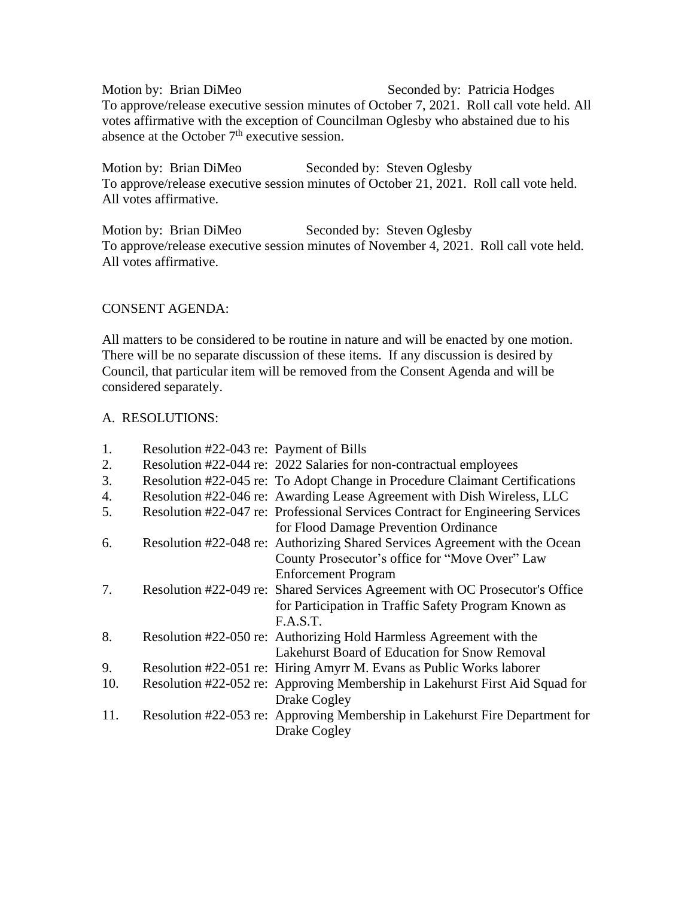Motion by: Brian DiMeo Seconded by: Patricia Hodges To approve/release executive session minutes of October 7, 2021. Roll call vote held. All votes affirmative with the exception of Councilman Oglesby who abstained due to his absence at the October  $7<sup>th</sup>$  executive session.

Motion by: Brian DiMeo Seconded by: Steven Oglesby To approve/release executive session minutes of October 21, 2021. Roll call vote held. All votes affirmative.

Motion by: Brian DiMeo Seconded by: Steven Oglesby To approve/release executive session minutes of November 4, 2021. Roll call vote held. All votes affirmative.

# CONSENT AGENDA:

All matters to be considered to be routine in nature and will be enacted by one motion. There will be no separate discussion of these items. If any discussion is desired by Council, that particular item will be removed from the Consent Agenda and will be considered separately.

# A. RESOLUTIONS:

| 1.  | Resolution #22-043 re: Payment of Bills |                                                                                |
|-----|-----------------------------------------|--------------------------------------------------------------------------------|
| 2.  |                                         | Resolution #22-044 re: 2022 Salaries for non-contractual employees             |
| 3.  |                                         | Resolution #22-045 re: To Adopt Change in Procedure Claimant Certifications    |
| 4.  |                                         | Resolution #22-046 re: Awarding Lease Agreement with Dish Wireless, LLC        |
| 5.  |                                         | Resolution #22-047 re: Professional Services Contract for Engineering Services |
|     |                                         | for Flood Damage Prevention Ordinance                                          |
| 6.  |                                         | Resolution #22-048 re: Authorizing Shared Services Agreement with the Ocean    |
|     |                                         | County Prosecutor's office for "Move Over" Law                                 |
|     |                                         | <b>Enforcement Program</b>                                                     |
| 7.  |                                         | Resolution #22-049 re: Shared Services Agreement with OC Prosecutor's Office   |
|     |                                         | for Participation in Traffic Safety Program Known as                           |
|     |                                         | F.A.S.T.                                                                       |
| 8.  |                                         | Resolution #22-050 re: Authorizing Hold Harmless Agreement with the            |
|     |                                         | Lakehurst Board of Education for Snow Removal                                  |
| 9.  |                                         | Resolution #22-051 re: Hiring Amyrr M. Evans as Public Works laborer           |
| 10. |                                         | Resolution #22-052 re: Approving Membership in Lakehurst First Aid Squad for   |
|     |                                         | Drake Cogley                                                                   |
| 11. |                                         | Resolution #22-053 re: Approving Membership in Lakehurst Fire Department for   |
|     |                                         | Drake Cogley                                                                   |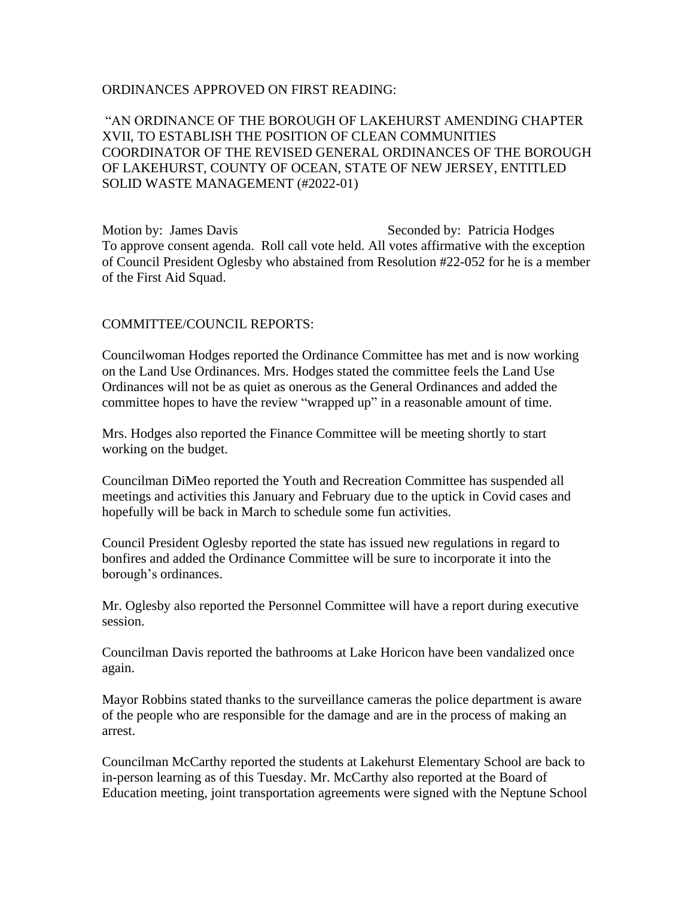### ORDINANCES APPROVED ON FIRST READING:

"AN ORDINANCE OF THE BOROUGH OF LAKEHURST AMENDING CHAPTER XVII, TO ESTABLISH THE POSITION OF CLEAN COMMUNITIES COORDINATOR OF THE REVISED GENERAL ORDINANCES OF THE BOROUGH OF LAKEHURST, COUNTY OF OCEAN, STATE OF NEW JERSEY, ENTITLED SOLID WASTE MANAGEMENT (#2022-01)

Motion by: James Davis Seconded by: Patricia Hodges To approve consent agenda. Roll call vote held. All votes affirmative with the exception of Council President Oglesby who abstained from Resolution #22-052 for he is a member of the First Aid Squad.

### COMMITTEE/COUNCIL REPORTS:

Councilwoman Hodges reported the Ordinance Committee has met and is now working on the Land Use Ordinances. Mrs. Hodges stated the committee feels the Land Use Ordinances will not be as quiet as onerous as the General Ordinances and added the committee hopes to have the review "wrapped up" in a reasonable amount of time.

Mrs. Hodges also reported the Finance Committee will be meeting shortly to start working on the budget.

Councilman DiMeo reported the Youth and Recreation Committee has suspended all meetings and activities this January and February due to the uptick in Covid cases and hopefully will be back in March to schedule some fun activities.

Council President Oglesby reported the state has issued new regulations in regard to bonfires and added the Ordinance Committee will be sure to incorporate it into the borough's ordinances.

Mr. Oglesby also reported the Personnel Committee will have a report during executive session.

Councilman Davis reported the bathrooms at Lake Horicon have been vandalized once again.

Mayor Robbins stated thanks to the surveillance cameras the police department is aware of the people who are responsible for the damage and are in the process of making an arrest.

Councilman McCarthy reported the students at Lakehurst Elementary School are back to in-person learning as of this Tuesday. Mr. McCarthy also reported at the Board of Education meeting, joint transportation agreements were signed with the Neptune School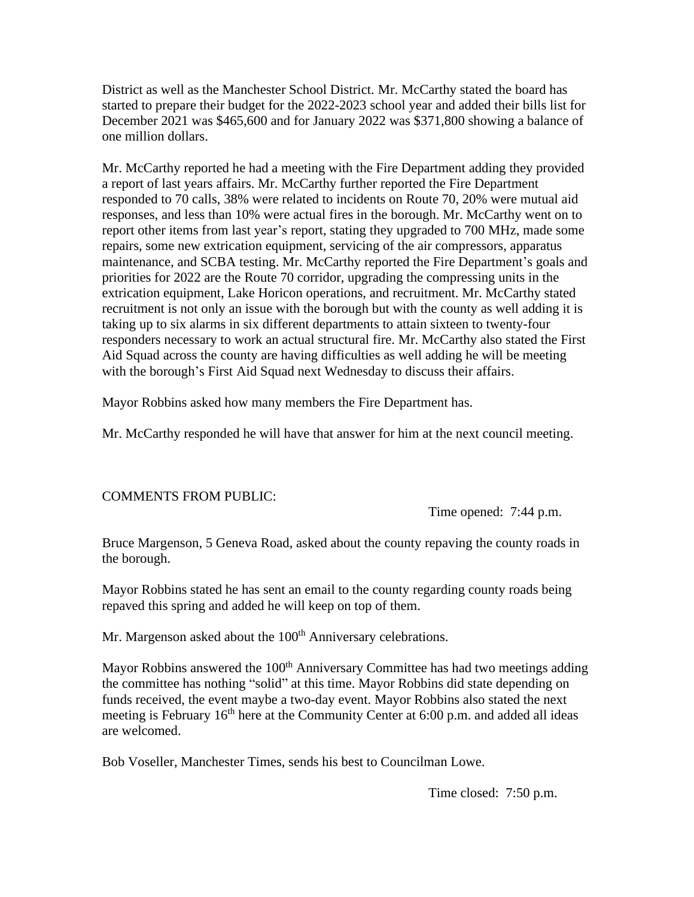District as well as the Manchester School District. Mr. McCarthy stated the board has started to prepare their budget for the 2022-2023 school year and added their bills list for December 2021 was \$465,600 and for January 2022 was \$371,800 showing a balance of one million dollars.

Mr. McCarthy reported he had a meeting with the Fire Department adding they provided a report of last years affairs. Mr. McCarthy further reported the Fire Department responded to 70 calls, 38% were related to incidents on Route 70, 20% were mutual aid responses, and less than 10% were actual fires in the borough. Mr. McCarthy went on to report other items from last year's report, stating they upgraded to 700 MHz, made some repairs, some new extrication equipment, servicing of the air compressors, apparatus maintenance, and SCBA testing. Mr. McCarthy reported the Fire Department's goals and priorities for 2022 are the Route 70 corridor, upgrading the compressing units in the extrication equipment, Lake Horicon operations, and recruitment. Mr. McCarthy stated recruitment is not only an issue with the borough but with the county as well adding it is taking up to six alarms in six different departments to attain sixteen to twenty-four responders necessary to work an actual structural fire. Mr. McCarthy also stated the First Aid Squad across the county are having difficulties as well adding he will be meeting with the borough's First Aid Squad next Wednesday to discuss their affairs.

Mayor Robbins asked how many members the Fire Department has.

Mr. McCarthy responded he will have that answer for him at the next council meeting.

# COMMENTS FROM PUBLIC:

Time opened: 7:44 p.m.

Bruce Margenson, 5 Geneva Road, asked about the county repaving the county roads in the borough.

Mayor Robbins stated he has sent an email to the county regarding county roads being repaved this spring and added he will keep on top of them.

Mr. Margenson asked about the 100<sup>th</sup> Anniversary celebrations.

Mayor Robbins answered the  $100<sup>th</sup>$  Anniversary Committee has had two meetings adding the committee has nothing "solid" at this time. Mayor Robbins did state depending on funds received, the event maybe a two-day event. Mayor Robbins also stated the next meeting is February  $16<sup>th</sup>$  here at the Community Center at 6:00 p.m. and added all ideas are welcomed.

Bob Voseller, Manchester Times, sends his best to Councilman Lowe.

Time closed: 7:50 p.m.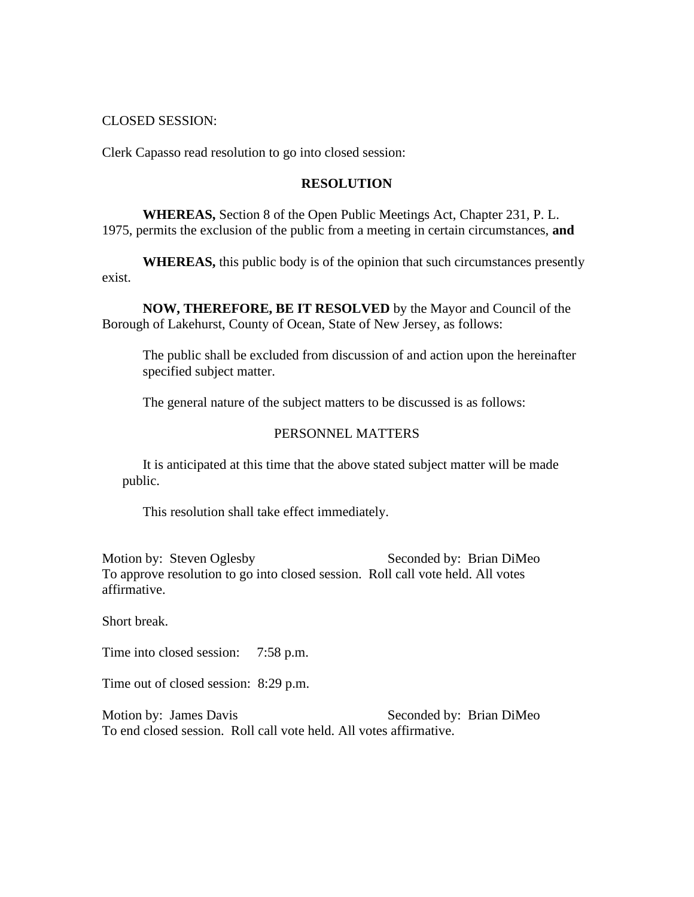#### CLOSED SESSION:

Clerk Capasso read resolution to go into closed session:

#### **RESOLUTION**

**WHEREAS,** Section 8 of the Open Public Meetings Act, Chapter 231, P. L. 1975, permits the exclusion of the public from a meeting in certain circumstances, **and**

**WHEREAS,** this public body is of the opinion that such circumstances presently exist.

**NOW, THEREFORE, BE IT RESOLVED** by the Mayor and Council of the Borough of Lakehurst, County of Ocean, State of New Jersey, as follows:

The public shall be excluded from discussion of and action upon the hereinafter specified subject matter.

The general nature of the subject matters to be discussed is as follows:

### PERSONNEL MATTERS

It is anticipated at this time that the above stated subject matter will be made public.

This resolution shall take effect immediately.

Motion by: Steven Oglesby Seconded by: Brian DiMeo To approve resolution to go into closed session. Roll call vote held. All votes affirmative.

Short break.

Time into closed session: 7:58 p.m.

Time out of closed session: 8:29 p.m.

Motion by: James Davis Seconded by: Brian DiMeo To end closed session. Roll call vote held. All votes affirmative.